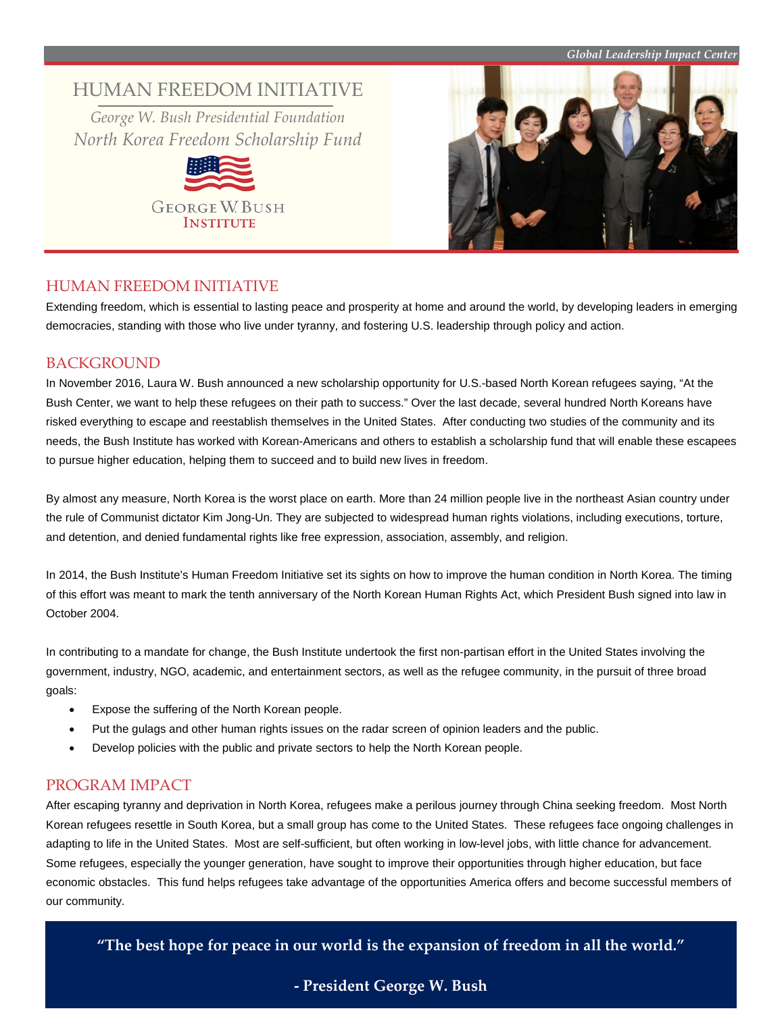#### *Global Leadership Impact Center*

# HUMAN FREEDOM INITIATIVE

*George W. Bush Presidential Foundation North Korea Freedom Scholarship Fund*





### HUMAN FREEDOM INITIATIVE

Extending freedom, which is essential to lasting peace and prosperity at home and around the world, by developing leaders in emerging democracies, standing with those who live under tyranny, and fostering U.S. leadership through policy and action.

### BACKGROUND

In November 2016, Laura W. Bush announced a new scholarship opportunity for U.S.-based North Korean refugees saying, "At the Bush Center, we want to help these refugees on their path to success." Over the last decade, several hundred North Koreans have risked everything to escape and reestablish themselves in the United States. After conducting two studies of the community and its needs, the Bush Institute has worked with Korean-Americans and others to establish a scholarship fund that will enable these escapees to pursue higher education, helping them to succeed and to build new lives in freedom.

By almost any measure, North Korea is the worst place on earth. More than 24 million people live in the northeast Asian country under the rule of Communist dictator Kim Jong-Un. They are subjected to widespread human rights violations, including executions, torture, and detention, and denied fundamental rights like free expression, association, assembly, and religion.

In 2014, the Bush Institute's Human Freedom Initiative set its sights on how to improve the human condition in North Korea. The timing of this effort was meant to mark the tenth anniversary of the North Korean Human Rights Act, which President Bush signed into law in October 2004.

In contributing to a mandate for change, the Bush Institute undertook the first non-partisan effort in the United States involving the government, industry, NGO, academic, and entertainment sectors, as well as the refugee community, in the pursuit of three broad goals:

- Expose the suffering of the North Korean people.
- Put the gulags and other human rights issues on the radar screen of opinion leaders and the public.
- Develop policies with the public and private sectors to help the North Korean people.

## PROGRAM IMPACT

After escaping tyranny and deprivation in North Korea, refugees make a perilous journey through China seeking freedom. Most North Korean refugees resettle in South Korea, but a small group has come to the United States. These refugees face ongoing challenges in adapting to life in the United States. Most are self-sufficient, but often working in low-level jobs, with little chance for advancement. Some refugees, especially the younger generation, have sought to improve their opportunities through higher education, but face economic obstacles. This fund helps refugees take advantage of the opportunities America offers and become successful members of our community.

**"The best hope for peace in our world is the expansion of freedom in all the world."**

# **- President George W. Bush**